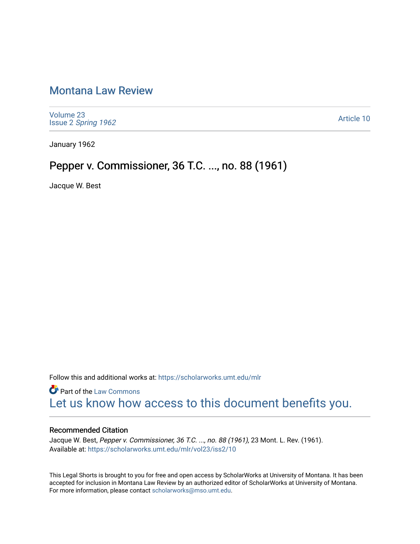## [Montana Law Review](https://scholarworks.umt.edu/mlr)

[Volume 23](https://scholarworks.umt.edu/mlr/vol23) Issue 2 [Spring 1962](https://scholarworks.umt.edu/mlr/vol23/iss2) 

[Article 10](https://scholarworks.umt.edu/mlr/vol23/iss2/10) 

January 1962

## Pepper v. Commissioner, 36 T.C. ..., no. 88 (1961)

Jacque W. Best

Follow this and additional works at: [https://scholarworks.umt.edu/mlr](https://scholarworks.umt.edu/mlr?utm_source=scholarworks.umt.edu%2Fmlr%2Fvol23%2Fiss2%2F10&utm_medium=PDF&utm_campaign=PDFCoverPages) 

**Part of the [Law Commons](http://network.bepress.com/hgg/discipline/578?utm_source=scholarworks.umt.edu%2Fmlr%2Fvol23%2Fiss2%2F10&utm_medium=PDF&utm_campaign=PDFCoverPages)** [Let us know how access to this document benefits you.](https://goo.gl/forms/s2rGfXOLzz71qgsB2) 

## Recommended Citation

Jacque W. Best, Pepper v. Commissioner, 36 T.C. ..., no. 88 (1961), 23 Mont. L. Rev. (1961). Available at: [https://scholarworks.umt.edu/mlr/vol23/iss2/10](https://scholarworks.umt.edu/mlr/vol23/iss2/10?utm_source=scholarworks.umt.edu%2Fmlr%2Fvol23%2Fiss2%2F10&utm_medium=PDF&utm_campaign=PDFCoverPages)

This Legal Shorts is brought to you for free and open access by ScholarWorks at University of Montana. It has been accepted for inclusion in Montana Law Review by an authorized editor of ScholarWorks at University of Montana. For more information, please contact [scholarworks@mso.umt.edu.](mailto:scholarworks@mso.umt.edu)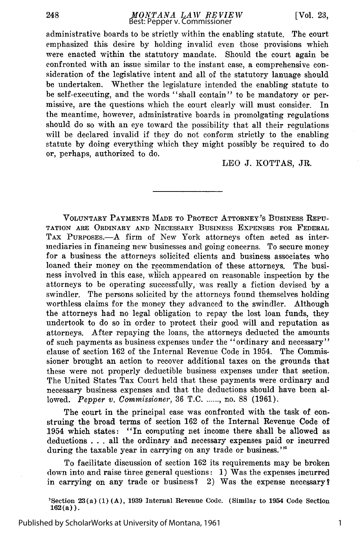*MONTANA LAW REVIEW* Best: Pepper v. Commissioner

administrative boards to be strictly within the enabling statute. The court emphasized this desire by holding invalid even those provisions which were enacted within the statutory mandate. Should the court again be confronted with an issue similar to the instant case, a comprehensive consideration of the legislative intent and all of the statutory lanuage should be undertaken. Whether the legislature intended the enabling statute to be self-executing, and the words "shall contain" to be mandatory or permissive, are the questions which the court clearly will must consider. In the meantime, however, administrative boards in promolgating regulations should do so with an eye toward the possibility that all their regulations will be declared invalid if they do not conform strictly to the enabling statute by doing everything which they might possibly be required to do or, perhaps, authorized to do.

LEO J. KOTTAS, JR.

VOLUNTARY PAYMENTS MADE TO PROTECT ATTORNEY'S BUSINESS REPU-TATION ARE ORDINARY AND NECESSARY BUSINESS EXPENSES FOR FEDERAL TAX PURPOSES.- A firm of New York attorneys often acted as intermediaries in financing new businesses and going concerns. To secure money for a business the attorneys solicited clients and business associates who loaned their money on the recommendation of these attorneys. The business involved in this case, wihich appeared on reasonable inspection by the attorneys to be operating successfully, was really a fiction devised by a swindler. The persons solicited by the attorneys found themselves holding worthless claims for the money they advanced to the swindler. Although the attorneys had no legal obligation to repay the lost loan funds, they undertook to do so in order to protect their good will and reputation as attorneys. After repaying the loans, the attorneys deducted the amounts of such payments as business expenses under the "ordinary and necessary" clause of section 162 of the Internal Revenue Code in 1954. The Commissioner brought an action to recover additional taxes on the grounds that these were not properly deductible business expenses under that section. The United States Tax Court held that these payments were ordinary and necessary business expenses and that the deductions should have been allowed. *Pepper v. Commissioner,* 36 T.C **....... ,** no. 88 (1961).

The court in the principal case was confronted with the task of construing the broad terms of section 162 of the Internal Revenue Code of 1954 which states: "In computing net income there shall be allowed as deductions . **.** . all the ordinary and necessary expenses paid or incurred during the taxable year in carrying on any trade or business."<sup>1</sup>

To facilitate discussion of section 162 its requirements may be broken down into and raise three general questions: 1) Was the expenses incurred in carrying on any trade or business? 2) Was the expense necessary?

'Section 23(a) **(1)** (A), 1939 Internal Revenue Code. (Similar to 1954 Code Section  $162(a)$ .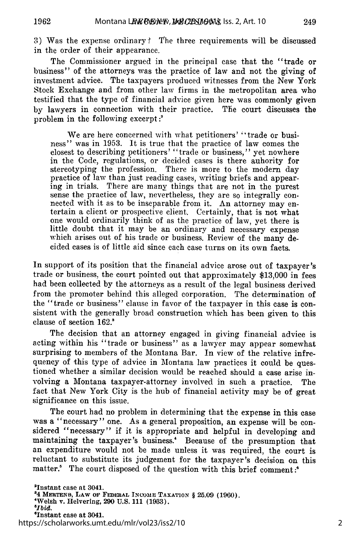249

3) Was the expense ordinary **?** The three requirements will be discussed in the order of their appearance.

The Commissioner argued in the principal case that the "trade or business" of the attorneys was the practice of law and not the giving of investment advice. The taxpayers produced witnesses from the New York Stock Exchange and from other law firms in the metropolitan area who testified that the type of financial advice given here was commonly given by lawyers in connection with their practice. The court discusses the problem in the following excerpt **:'**

We are here concerned with what petitioners' "trade or business" was in 1953. It is true that the practice of law comes the closest to describing petitioners' "trade or business," yet nowhere in the Code, regulations, or decided cases is there auhority for stereotyping the profession. There is more to the modern day practice of law than just reading cases, writing briefs and appearing in trials. There are many things that are not in the purest sense the practice of law, nevertheless, they are so integrally connected with it as to be inseparable from it. An attorney may entertain a client or prospective client. Certainly, that is not what one would ordinarily think of as the practice of law, yet there is little doubt that it may be an ordinary and necessary expense which arises out of his trade or business. Review of the many decided cases is of little aid since each case turns on its own facts.

In support of its position that the financial advice arose out of taxpayer's trade or business, the court pointed out that approximately \$13,000 in fees had been collected by the attorneys as a result of the legal business derived from the promoter behind this alleged corporation. The determination of the "trade or business" clause in favor of the taxpayer in this case is consistent with the generally broad construction which has been given to this clause of section 162.

The decision that an attorney engaged in giving financial advice is acting within his "trade or business" as a lawyer may appear somewhat surprising to members of the Montana Bar. In view of the relative infrequency of this type of advice in Montana law practices it could be questioned whether a similar decision would be reached should a case arise involving a Montana taxpayer-attorney involved in such a practice. The fact that New York City is the hub of financial activity may be of great significance on this issue.

The court had no problem in determining that the expense in this case was a "necessary" one. As a general proposition, an expense will be considered "necessary" if it is appropriate and helpful in developing and maintaining the taxpayer's business.' Because of the presumption that an expenditure would not be made unless it was required, the court is reluctant to substitute its judgement for the taxpayer's decision on this matter.<sup>8</sup> The court disposed of the question with this brief comment:<sup>6</sup>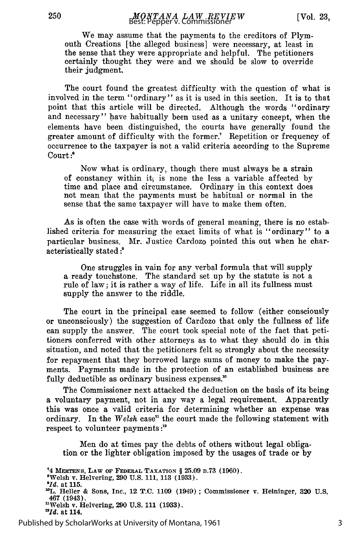We may assume that the payments to the creditors of Plymouth Creations [the alleged business] were necessary, at least in the sense that they were appropriate and helpful. The petitioners certainly thought they were and we should be slow to override their judgment.

The court found the greatest difficulty with the question of what is involved in the term "ordinary" as it is used in this section. It is to that point that this article will be directed. Although the words "ordinary and necessary" have habitually been used as a unitary concept, when the elements have been distinguished, the courts have generally found the greater amount of difficulty with the former.' Repetition or frequency of occurrence to the taxpayer is not a valid criteria according to the Supreme Court:<sup>"</sup>

Now what is ordinary, though there must always be a strain of constancy within it, is none the less a variable affected by time and place and circumstance. Ordinary in this context does not mean that the payments must be habitual or normal in the sense that the same taxpayer will have to make them often.

As is often the case with words of general meaning, there is no established criteria for measuring the exact limits of what is "ordinary" to a particular business. Mr. Justice Cardozo pointed this out when he characteristically stated *:?*

One struggles in vain for any verbal formula that will supply a ready touchstone. The standard set up by the statute is not a rule of law; it is rather a way of life. Life in all its fullness must supply the answer to the riddle.

The court in the principal case seemed to follow (either consciously or unconsciously) the suggestion of Cardozo that only the fullness of life can supply the answer. The court took special note of the fact that petitioners conferred with other attorneys as to what they should do in this situation, and noted that the petitioners felt so strongly about the necessity for repayment that they borrowed large sums of money to make the payments. Payments made in the protection of an established business are fully deductible as ordinary business expenses.<sup>10</sup>

The Commissioner next attacked the deduction on the basis of its being a voluntary payment, not in any way a legal requirement. Apparently this was once a valid criteria for determining whether an expense was ordinary. In the *Welsh* case<sup>n</sup> the court made the following statement with respect to volunteer payments *:"*

Men do at times pay the debts of others without legal obligation or the lighter obligation imposed by the usages of trade or by

**14 MERTENs, LAW OF FEDERAL TAXATION** § **25.09 n.73 (1960).**

**8 Welsh v. Helvering, 290 U.S. 111, 113 (1933).**

**9Id.** at **115.**

'OL. Heller **&** Sons, **Inc.,** 12 **T.C.** 1109 (1949) **;** Commissioner v. Heininger, **320 U.S.** 467 (1943).

nWelsh v. Helvering, **290 U.S. 111 (1933). 121.** at 114,

Published by ScholarWorks at University of Montana, 1961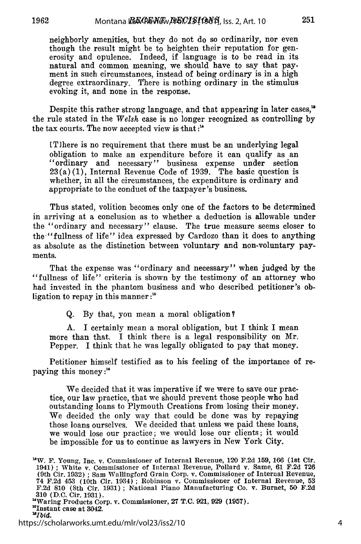neighborly amenities, but they do not do so ordinarily, nor even though the result might be to heighten their reputation for generosity and opulence. Indeed, if language is to be read in its natural and common meaning, we should have to say that payment in such circumstances, instead of being ordinary is in a high degree extraordinary. There is nothing ordinary in the stimulus evoking it, and none in the response.

Despite this rather strong language, and that appearing in later cases,<sup>18</sup> the rule stated in the *Welsh* case is no longer recognized as controlling by the tax courts. The now accepted view is that **:"**

IT]here is no requirement that there must be an underlying legal obligation to make an expenditure before it can qualify as an "ordinary and necessary" business expense under section  $23(a)(1)$ , Internal Revenue Code of 1939. The basic question is whether, in all the circumstances, the expenditure is ordinary and appropriate to the conduct of the taxpayer's business.

Thus stated, volition becomes only one of the factors to be determined in arriving at a conclusion as to whether a deduction is allowable under the "ordinary and necessary" clause. The true measure seems closer to the "fullness of life" idea expressed by Cardozo than it does to anything as absolute as the distinction between voluntary and non-voluntary payments.

That the expense was "ordinary and necessary" when judged by the "fullness of life" criteria is shown by the testimony of an attorney who had invested in the phantom business and who described petitioner's obligation to repay in this manner **:**

Q. By that, you mean a moral obligation?

A. I certainly mean a moral obligation, but I think I mean more than that. I think there is a legal responsibility on Mr. Pepper. I think that he was legally obligated to pay that money.

Petitioner himself testified as to his feeling of the importance of repaying this money:"'

We decided that it was imperative if we were to save our practice, our law practice, that we should prevent those people who had outstanding loans to Plymouth Creations from losing their money. We decided the only way that could be done was by repaying those loans ourselves. We decided that unless we paid these loans, we would lose our practice; we would lose our clients; it would be impossible for us to continue as lawyers in New York City.

<sup>&#</sup>x27;W. F. Young, Inc. v. Commissioner of Internal Revenue, 120 **F.2d 159, 166 (1st** Cir. 1941) **;** White v. Commissioner of Internal Revenue, Pollard v. Same, **61 F.2d 726** (9th Cir. **1932) ;** Sam Wallingford Grain Corp. v. Commissioner of Internal Revenue, 74 **F.2d** 453 (10th Cir. 1934) **;** Robinson v. Commissioner of Internal Revenue, **53 F.2d 810 (8th** Cir. **1931) ;** National Piano Manufacturing Co. v. Burnet, **50 F.2d 310 (D.C.** Cir. **1931).** "Waring Products Corp. v. Commissioner, **27 T.C. 921, 929 (1957).** 'Instant case at **3042.**

*<sup>,</sup>Ibid.*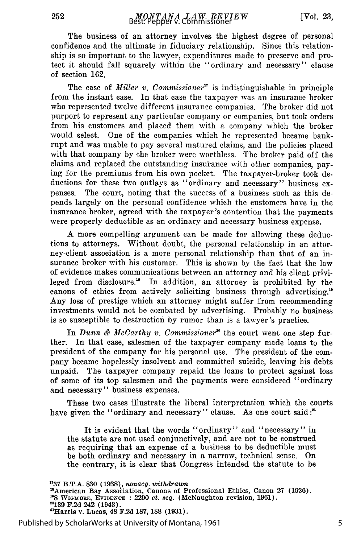The business of an attorney involves the highest degree of personal confidence and the ultimate in fiduciary relationship. Since this relationship is so important to the lawyer, expenditures made to preserve and protect it should fall squarely within the "ordinary and necessary" clause of section 162.

The case of *Miller v. Commissioner"* is indistinguishable in principle from the instant case. In that case the taxpayer was an insurance broker who represented twelve different insurance companies. The broker did not purport to represent any particular company or companies, but took orders from his customers and placed them with a company which the broker would select. One of the companies which he represented became bankrupt and was unable to pay several matured claims, and the policies placed with that company by the broker were worthless. The broker paid off the claims and replaced the outstanding insurance with other companies, paying for the premiums from his own pocket. The taxpayer-broker took deductions for these two outlays as "ordinary and necessary" business expenses. The court, noting that the success of a business such as this depends largely on the personal confidence which the customers have in the insurance broker, agreed with the taxpayer's contention that the payments were properly deductible as an ordinary and necessary business expense.

A more compelling argument can be made for allowing these deductions to attorneys. Without doubt, the personal relationship in an attorney-client association is a more personal relationship than that of an insurance broker with his customer. This is shown by the fact that the law of evidence makes communications between an attorney and his client privileged from disclosure.<sup>16</sup> In addition, an attorney is prohibited by the canons of ethics from actively soliciting business through advertising.<sup>16</sup> Any loss of prestige which an attorney might suffer from recommending investments would not be combated by advertising. Probably no business is so susceptible to destruction by rumor than is a lawyer's practice.

In *Dunn & McCarthy v. Commissioner*<sup>20</sup> the court went one step further. In that case, salesmen of the taxpayer company made loans to the president of the company for his personal use. The president of the company became hopelessly insolvent and committed suicide, leaving his debts unpaid. The taxpayer company repaid the loans to protect against loss of some of its top salesmen and the payments were considered "ordinary and necessary" business expenses.

These two cases illustrate the liberal interpretation which the courts have given the "ordinary and necessary" clause. As one court said:"

It is evident that the words "ordinary" and "necessary" in the statute are not used conjunctively, and are not to be construed as requiring that an expense of a business to be deductible must be both ordinary and necessary in a narrow, technical sense. On the contrary, it is clear that Congress intended the statute to be

<sup>17</sup>37 B.T.A. 830 (1938), nonacg. withdrawn<br><sup>18</sup>American Bar Association, Canons of Professional Ethics, Canon 27 (1936).<br><sup>19</sup>8 WIGMORE, EVIDENCE : 2290 *et. seq.* (McNaughton revision, 1961). **"139 F.2d** *242* (1943). 'Harris v. Lucas, **48 F.2d 187, 188 (1931).**

Published by ScholarWorks at University of Montana, 1961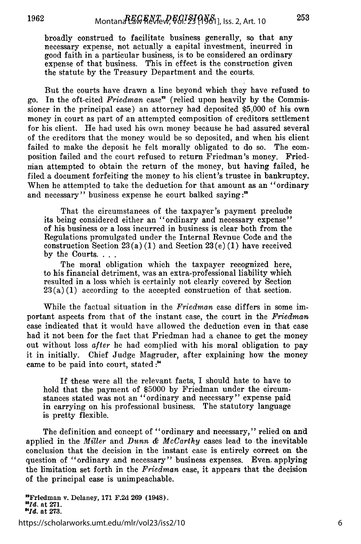broadly construed to facilitate business generally, so that any necessary expense, not actually a capital investment, incurred in good faith in a particular business, is to be considered an ordinary expense of that business. This in effect is the construction given the statute by the Treasury Department and the courts.

But the courts have drawn a line beyond which they have refused to go. In the oft-cited *Friedman* case' (relied upon heavily by the Commissioner in the principal case) an attorney had deposited \$5,000 of his own money in court as part of an attempted composition of creditors settlement for his client. He had used his own money because he had assured several of the creditors that the money would be so deposited, and when his client failed to make the deposit he felt morally obligated to do so. The composition failed and the court refused to return Friedman's money. Friednian attempted to obtain the return of the money, but having failed, he filed a document forfeiting the money to his client's trustee in bankruptcy. When he attempted to take the deduction for that amount as an "ordinary and necessary" business expense he court balked saying **:"**

That the circumstances of the taxpayer's payment preclude its being considered either an "ordinary and necessary expense" of his business or a loss incurred in business is clear both from the Regulations promulgated under the Internal Revnue Code and the construction Section  $23(a)(1)$  and Section  $23(e)(1)$  have received by the Courts...

The moral obligation which the taxpayer recognized here, to his financial detriment, was an extra-professional liability which resulted in a loss which is certainly not clearly covered by Section  $23(a)(1)$  according to the accepted construction of that section.

While the factual situation in the *Friedman* case differs in some important aspects from that of the instant case, the court in the *Friedman* case indicated that it would have allowed the deduction even in that case had it not been for the fact that Friedman had a chance to get the money out without loss after he had complied with his moral obligation to pay it in initially. Chief Judge Magruder, after explaining how the money came to be paid into court, stated:<sup>"4</sup>

If these were all the relevant facts, I should hate to have to hold that the payment of \$5000 by Friedman under the circumstances stated was not an "ordinary and necessary" expense paid in carrying on his professional business. The statutory language is pretty flexible.

The definition and concept of "ordinary and necessary," relied on and applied in the *Miller* and *Dunn & McCarthy* cases lead to the inevitable conclusion that the decision in the instant case is entirely correct on the question of "ordinary and necessary" business expenses. Even- applying the limitation set forth in the *Friedman* case, it appears that the decision of the principal case is unimpeachable.

"Friedman v. Delaney, **171 F.2d 269** (1948). **Old.** at **271. " . at 273.**

https://scholarworks.umt.edu/mlr/vol23/iss2/10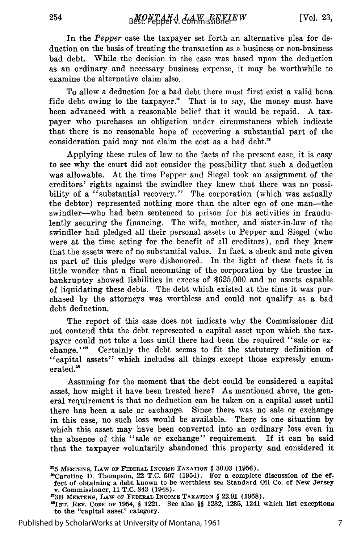254

In the *Pepper* case the taxpayer set forth an alternative plea for deduction on the basis of treating the transaction as a business or non-business bad debt. While the decision in the case was based upon the deduction as an ordinary and necessary business expense, it may be worthwhile to examine the alternative claim also.

To allow a deduction for a bad debt there must first exist a valid bona fide debt owing to the taxpayer.<sup>25</sup> That is to say, the money must have been advanced with a reasonable belief that it would be repaid. A taxpayer who purchases an obligation under circumstances which indicate that there is no reasonable hope of recovering a substantial part of the consideration paid may not claim the cost as a bad debt."

Applying these rules of law to the facts of the present case, it is easy to see why the court did not consider the possibility that such a deduction was allowable. At the time Pepper and Siegel took an assignment of the creditors' rights against the swindler they knew that there was no possibility of a "substantial recovery." The corporation (which was actually the debtor) represented nothing more than the alter ego of one man-the swindler—who had been sentenced to prison for his activities in fraudulently securing the financing. The wife, mother, and sister-in-law of the swindler had pledged all their personal assets to Pepper and Siegel (who were at the time acting for the benefit of all creditors), and they knew that the assets were of no substantial value. In fact, a check and note given as part of this pledge were dishonored. In the light of these facts it is little wonder that a final accounting of the corporation by the trustee in bankruptcy showed liabilities in excess of \$625,000 and no assets capable of liquidating these debts. The debt which existed at the time it was purchased by the attorneys was worthless and could not qualify as a bad debt deduction.

The report of this case does not indicate why the Commissioner did not contend thta the debt represented a capital asset upon which the taxpayer could not take a loss until there had been the required "sale or exchange." $\pi$  Certainly the debt seems to fit the statutory definition of "capital assets" which includes all things except those expressly enumerated.<sup>28</sup>

Assuming for the moment that the debt could be considered a capital asset, how might it have been treated here? As mentioned above, the general requirement is that no deduction can be taken on a capital asset until there has been a sale or exchange. Since there was no sale or exchange in this case, no such loss would be available. There is one situation by which this asset may have been converted into an ordinary loss even in the absence of this "sale or exchange" requirement. If it can be said that the taxpayer voluntarily abandoned this property and considered it

Published by ScholarWorks at University of Montana, 1961

**<sup>215</sup>MERTENs, LAW OF FEDvRAL INCOME TAXATION** § **30.03 (1956).**

<sup>&</sup>lt;sup>20</sup>Caroline D. Thompson, 22 T.C. 507 (1954). For a complete discussion of the effect of obtaining a debt known to be worthless see Standard Oil Co. of New Jersey v. Commissioner, 11 T.C. 843 (1948).<br>
<sup>27</sup>3B MERTENS LAW O

**INT.** REV. CODE **OF** 1954, § 1221. See also §§ **1232, 1235,** 1241 which list exceptions to the "capital asset" category.